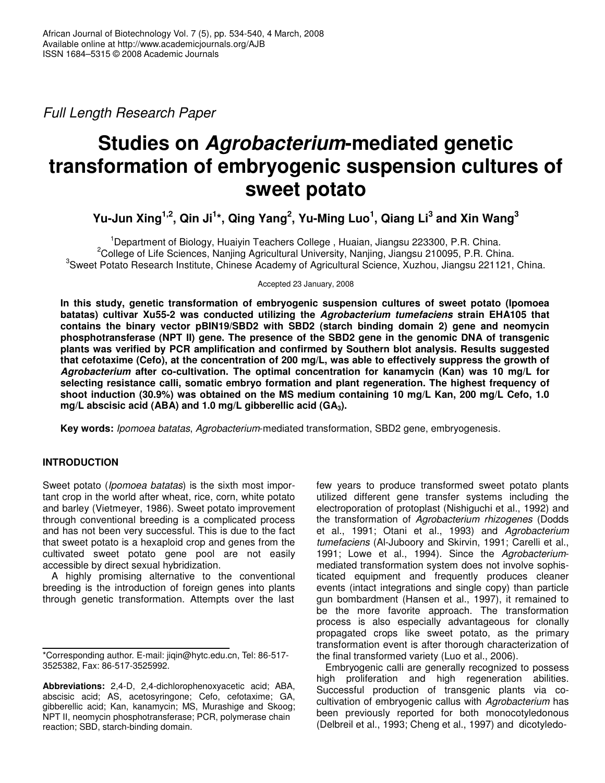*Full Length Research Paper*

# **Studies on** *Agrobacterium***-mediated genetic transformation of embryogenic suspension cultures of sweet potato**

Yu-Jun Xing<sup>1,2</sup>, Qin Ji<sup>1</sup>\*, Qing Yang<sup>2</sup>, Yu-Ming Luo<sup>1</sup>, Qiang Li<sup>3</sup> and Xin Wang<sup>3</sup>

<sup>1</sup>Department of Biology, Huaiyin Teachers College , Huaian, Jiangsu 223300, P.R. China. <sup>2</sup>College of Life Sciences, Nanjing Agricultural University, Nanjing, Jiangsu 210095, P.R. China. <sup>3</sup>Sweet Potato Research Institute, Chinese Academy of Agricultural Science, Xuzhou, Jiangsu 221121, China.

Accepted 23 January, 2008

**In this study, genetic transformation of embryogenic suspension cultures of sweet potato (Ipomoea batatas) cultivar Xu55-2 was conducted utilizing the** *Agrobacterium tumefaciens* **strain EHA105 that contains the binary vector pBIN19/SBD2 with SBD2 (starch binding domain 2) gene and neomycin phosphotransferase (NPT II) gene. The presence of the SBD2 gene in the genomic DNA of transgenic plants was verified by PCR amplification and confirmed by Southern blot analysis. Results suggested that cefotaxime (Cefo), at the concentration of 200 mg/L, was able to effectively suppress the growth of** *Agrobacterium* **after co-cultivation. The optimal concentration for kanamycin (Kan) was 10 mg/L for selecting resistance calli, somatic embryo formation and plant regeneration. The highest frequency of shoot induction (30.9%) was obtained on the MS medium containing 10 mg/L Kan, 200 mg/L Cefo, 1.0 mg/L abscisic acid (ABA) and 1.0 mg/L gibberellic acid (GA3).**

**Key words:** *Ipomoea batatas*, *Agrobacterium*-mediated transformation, SBD2 gene, embryogenesis.

# **INTRODUCTION**

Sweet potato (*Ipomoea batatas*) is the sixth most important crop in the world after wheat, rice, corn, white potato and barley (Vietmeyer, 1986). Sweet potato improvement through conventional breeding is a complicated process and has not been very successful. This is due to the fact that sweet potato is a hexaploid crop and genes from the cultivated sweet potato gene pool are not easily accessible by direct sexual hybridization.

A highly promising alternative to the conventional breeding is the introduction of foreign genes into plants through genetic transformation. Attempts over the last few years to produce transformed sweet potato plants utilized different gene transfer systems including the electroporation of protoplast (Nishiguchi et al., 1992) and the transformation of *Agrobacterium rhizogenes* (Dodds et al., 1991; Otani et al., 1993) and *Agrobacterium tumefaciens* (Al-Juboory and Skirvin, 1991; Carelli et al., 1991; Lowe et al., 1994). Since the *Agrobacterium*mediated transformation system does not involve sophisticated equipment and frequently produces cleaner events (intact integrations and single copy) than particle gun bombardment (Hansen et al., 1997), it remained to be the more favorite approach. The transformation process is also especially advantageous for clonally propagated crops like sweet potato, as the primary transformation event is after thorough characterization of the final transformed variety (Luo et al., 2006).

Embryogenic calli are generally recognized to possess high proliferation and high regeneration abilities. Successful production of transgenic plants via cocultivation of embryogenic callus with *Agrobacterium* has been previously reported for both monocotyledonous (Delbreil et al., 1993; Cheng et al., 1997) and dicotyledo-

<sup>\*</sup>Corresponding author. E-mail: jiqin@hytc.edu.cn, Tel: 86-517- 3525382, Fax: 86-517-3525992.

**Abbreviations:** 2,4-D, 2,4-dichlorophenoxyacetic acid; ABA, abscisic acid; AS, acetosyringone; Cefo, cefotaxime; GA, gibberellic acid; Kan, kanamycin; MS, Murashige and Skoog; NPT II, neomycin phosphotransferase; PCR, polymerase chain reaction; SBD, starch-binding domain.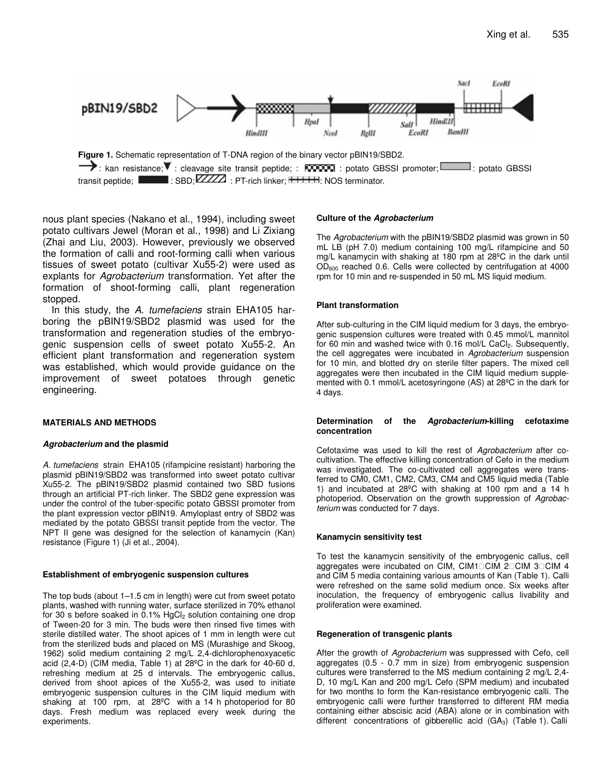

nous plant species (Nakano et al., 1994), including sweet potato cultivars Jewel (Moran et al., 1998) and Li Zixiang (Zhai and Liu, 2003). However, previously we observed the formation of calli and root-forming calli when various tissues of sweet potato (cultivar Xu55-2) were used as explants for *Agrobacterium* transformation. Yet after the formation of shoot-forming calli, plant regeneration stopped.

In this study, the *A. tumefaciens* strain EHA105 harboring the pBIN19/SBD2 plasmid was used for the transformation and regeneration studies of the embryogenic suspension cells of sweet potato Xu55-2. An efficient plant transformation and regeneration system was established, which would provide guidance on the improvement of sweet potatoes through genetic engineering.

### **MATERIALS AND METHODS**

## *Agrobacterium* **and the plasmid**

*A. tumefaciens* strain EHA105 (rifampicine resistant) harboring the plasmid pBIN19/SBD2 was transformed into sweet potato cultivar Xu55-2. The pBIN19/SBD2 plasmid contained two SBD fusions through an artificial PT-rich linker. The SBD2 gene expression was under the control of the tuber-specific potato GBSSI promoter from the plant expression vector pBIN19. Amyloplast entry of SBD2 was mediated by the potato GBSSI transit peptide from the vector. The NPT II gene was designed for the selection of kanamycin (Kan) resistance (Figure 1) (Ji et al., 2004).

#### **Establishment of embryogenic suspension cultures**

The top buds (about 1–1.5 cm in length) were cut from sweet potato plants, washed with running water, surface sterilized in 70% ethanol for 30 s before soaked in 0.1%  $HgCl<sub>2</sub>$  solution containing one drop of Tween-20 for 3 min. The buds were then rinsed five times with sterile distilled water. The shoot apices of 1 mm in length were cut from the sterilized buds and placed on MS (Murashige and Skoog, 1962) solid medium containing 2 mg/L 2,4-dichlorophenoxyacetic acid (2,4-D) (CIM media, Table 1) at 28ºC in the dark for 40-60 d, refreshing medium at 25 d intervals. The embryogenic callus, derived from shoot apices of the Xu55-2, was used to initiate embryogenic suspension cultures in the CIM liquid medium with shaking at 100 rpm, at 28ºC with a 14 h photoperiod for 80 days. Fresh medium was replaced every week during the experiments.

## **Culture of the** *Agrobacterium*

The *Agrobacterium* with the pBIN19/SBD2 plasmid was grown in 50 mL LB (pH 7.0) medium containing 100 mg/L rifampicine and 50 mg/L kanamycin with shaking at 180 rpm at 28ºC in the dark until OD<sup>600</sup> reached 0.6. Cells were collected by centrifugation at 4000 rpm for 10 min and re-suspended in 50 mL MS liquid medium.

#### **Plant transformation**

After sub-culturing in the CIM liquid medium for 3 days, the embryogenic suspension cultures were treated with 0.45 mmol/L mannitol for 60 min and washed twice with 0.16 mol/L CaCl<sub>2</sub>. Subsequently, the cell aggregates were incubated in *Agrobacterium* suspension for 10 min, and blotted dry on sterile filter papers. The mixed cell aggregates were then incubated in the CIM liquid medium supplemented with 0.1 mmol/L acetosyringone (AS) at 28ºC in the dark for 4 days.

#### **Determination of the** *Agrobacterium***-killing cefotaxime concentration**

Cefotaxime was used to kill the rest of *Agrobacterium* after cocultivation. The effective killing concentration of Cefo in the medium was investigated. The co-cultivated cell aggregates were transferred to CM0, CM1, CM2, CM3, CM4 and CM5 liquid media (Table 1) and incubated at 28ºC with shaking at 100 rpm and a 14 h photoperiod. Observation on the growth suppression of *Agrobacterium* was conducted for 7 days.

## **Kanamycin sensitivity test**

To test the kanamycin sensitivity of the embryogenic callus, cell aggregates were incubated on CIM, CIM1 CIM 2 CIM 3 CIM 4 and CIM 5 media containing various amounts of Kan (Table 1). Calli were refreshed on the same solid medium once. Six weeks after inoculation, the frequency of embryogenic callus livability and proliferation were examined.

#### **Regeneration of transgenic plants**

After the growth of *Agrobacterium* was suppressed with Cefo, cell aggregates (0.5 - 0.7 mm in size) from embryogenic suspension cultures were transferred to the MS medium containing 2 mg/L 2,4- D, 10 mg/L Kan and 200 mg/L Cefo (SPM medium) and incubated for two months to form the Kan-resistance embryogenic calli. The embryogenic calli were further transferred to different RM media containing either abscisic acid (ABA) alone or in combination with different concentrations of gibberellic acid  $(GA<sub>3</sub>)$  (Table 1). Calli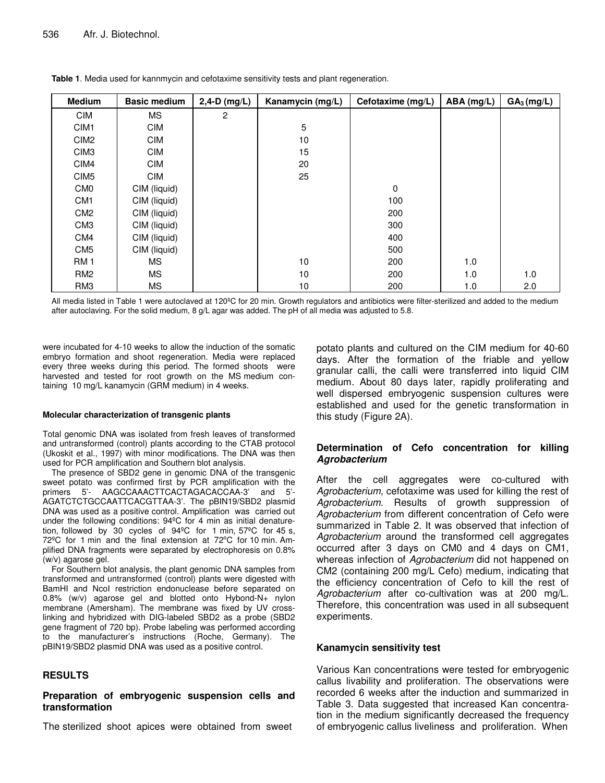| <b>Medium</b>    | <b>Basic medium</b> | $2,4-D$ (mg/L) | Kanamycin (mg/L) | Cefotaxime (mg/L) | ABA (mg/L) | $GA_3$ (mg/L) |
|------------------|---------------------|----------------|------------------|-------------------|------------|---------------|
| <b>CIM</b>       | <b>MS</b>           | 2              |                  |                   |            |               |
| CIM <sub>1</sub> | <b>CIM</b>          |                | 5                |                   |            |               |
| CIM <sub>2</sub> | <b>CIM</b>          |                | 10               |                   |            |               |
| CIM <sub>3</sub> | <b>CIM</b>          |                | 15               |                   |            |               |
| CIM4             | <b>CIM</b>          |                | 20               |                   |            |               |
| CIM <sub>5</sub> | <b>CIM</b>          |                | 25               |                   |            |               |
| CM <sub>0</sub>  | CIM (liquid)        |                |                  | 0                 |            |               |
| CM <sub>1</sub>  | CIM (liquid)        |                |                  | 100               |            |               |
| CM <sub>2</sub>  | CIM (liquid)        |                |                  | 200               |            |               |
| CM <sub>3</sub>  | CIM (liquid)        |                |                  | 300               |            |               |
| CM4              | CIM (liquid)        |                |                  | 400               |            |               |
| CM <sub>5</sub>  | CIM (liquid)        |                |                  | 500               |            |               |
| <b>RM1</b>       | МS                  |                | 10               | 200               | 1.0        |               |
| RM <sub>2</sub>  | <b>MS</b>           |                | 10               | 200               | 1.0        | 1.0           |
| RM <sub>3</sub>  | МS                  |                | 10               | 200               | 1.0        | 2.0           |

**Table 1**. Media used for kannmycin and cefotaxime sensitivity tests and plant regeneration.

All media listed in Table 1 were autoclaved at 120ºC for 20 min. Growth regulators and antibiotics were filter-sterilized and added to the medium after autoclaving. For the solid medium, 8 g/L agar was added. The pH of all media was adjusted to 5.8.

were incubated for 4-10 weeks to allow the induction of the somatic embryo formation and shoot regeneration. Media were replaced every three weeks during this period. The formed shoots were harvested and tested for root growth on the MS medium containing 10 mg/L kanamycin (GRM medium) in 4 weeks.

#### **Molecular characterization of transgenic plants**

Total genomic DNA was isolated from fresh leaves of transformed and untransformed (control) plants according to the CTAB protocol (Ukoskit et al., 1997) with minor modifications. The DNA was then used for PCR amplification and Southern blot analysis.

The presence of SBD2 gene in genomic DNA of the transgenic sweet potato was confirmed first by PCR amplification with the primers 5'- AAGCCAAACTTCACTAGACACCAA-3' and 5'- AGATCTCTGCCAATTCACGTTAA-3'. The pBIN19/SBD2 plasmid DNA was used as a positive control. Amplification was carried out under the following conditions: 94ºC for 4 min as initial denaturetion, followed by 30 cycles of 94ºC for 1 min, 57ºC for 45 s, 72<sup>°</sup>C for 1 min and the final extension at 72<sup>°</sup>C for 10 min. Amplified DNA fragments were separated by electrophoresis on 0.8% (w/v) agarose gel.

For Southern blot analysis, the plant genomic DNA samples from transformed and untransformed (control) plants were digested with BamHI and NcoI restriction endonuclease before separated on 0.8% (w/v) agarose gel and blotted onto Hybond-N+ nylon membrane (Amersham). The membrane was fixed by UV crosslinking and hybridized with DIG-labeled SBD2 as a probe (SBD2 gene fragment of 720 bp). Probe labeling was performed according to the manufacturer's instructions (Roche, Germany). The pBIN19/SBD2 plasmid DNA was used as a positive control.

## **RESULTS**

## **Preparation of embryogenic suspension cells and transformation**

The sterilized shoot apices were obtained from sweet

potato plants and cultured on the CIM medium for 40-60 days. After the formation of the friable and yellow granular calli, the calli were transferred into liquid CIM medium. About 80 days later, rapidly proliferating and well dispersed embryogenic suspension cultures were established and used for the genetic transformation in this study (Figure 2A).

## **Determination of Cefo concentration for killing** *Agrobacterium*

After the cell aggregates were co-cultured with *Agrobacterium*, cefotaxime was used for killing the rest of *Agrobacterium*. Results of growth suppression of *Agrobacterium* from different concentration of Cefo were summarized in Table 2. It was observed that infection of *Agrobacterium* around the transformed cell aggregates occurred after 3 days on CM0 and 4 days on CM1, whereas infection of *Agrobacterium* did not happened on CM2 (containing 200 mg/L Cefo) medium, indicating that the efficiency concentration of Cefo to kill the rest of *Agrobacterium* after co-cultivation was at 200 mg/L. Therefore, this concentration was used in all subsequent experiments.

## **Kanamycin sensitivity test**

Various Kan concentrations were tested for embryogenic callus livability and proliferation. The observations were recorded 6 weeks after the induction and summarized in Table 3. Data suggested that increased Kan concentration in the medium significantly decreased the frequency of embryogenic callus liveliness and proliferation. When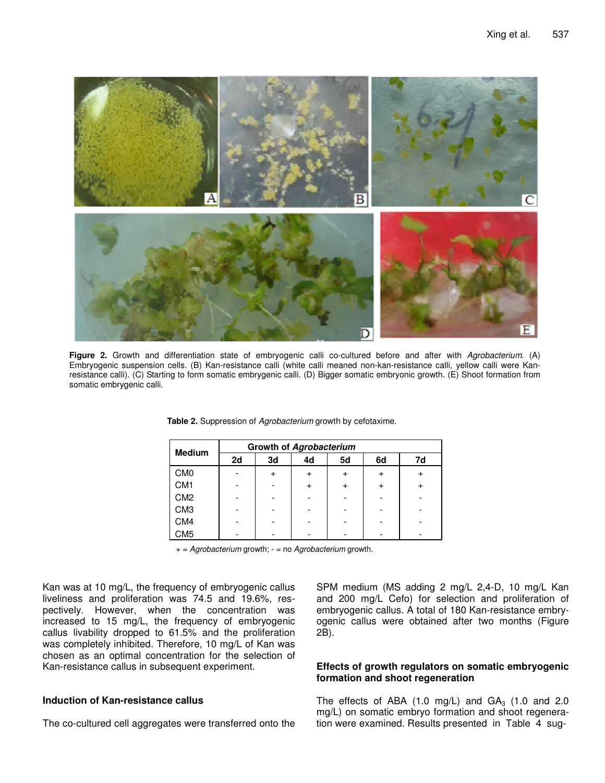

**Figure 2.** Growth and differentiation state of embryogenic calli co-cultured before and after with *Agrobacterium*. (A) Embryogenic suspension cells. (B) Kan-resistance calli (white calli meaned non-kan-resistance calli, yellow calli were Kanresistance calli). (C) Starting to form somatic embrygenic calli. (D) Bigger somatic embryonic growth. (E) Shoot formation from somatic embrygenic calli.

| <b>Medium</b>   | Growth of Agrobacterium |    |    |    |                 |    |  |
|-----------------|-------------------------|----|----|----|-----------------|----|--|
|                 | 2d                      | 3d | 4d | 5d | 6d              | 7d |  |
| CM <sub>0</sub> |                         |    |    | +  | $^{\mathrm{+}}$ |    |  |
| CM <sub>1</sub> |                         |    |    | +  | $^{\mathrm{+}}$ |    |  |
| CM <sub>2</sub> |                         |    |    |    |                 |    |  |
| CM <sub>3</sub> |                         |    |    |    |                 |    |  |
| CM4             |                         |    |    |    |                 |    |  |
| CM5             |                         |    |    |    |                 |    |  |

**Table 2.** Suppression of *Agrobacterium* growth by cefotaxime.

+ = *Agrobacterium* growth; - = no *Agrobacterium* growth.

Kan was at 10 mg/L, the frequency of embryogenic callus liveliness and proliferation was 74.5 and 19.6%, respectively. However, when the concentration was increased to 15 mg/L, the frequency of embryogenic callus livability dropped to 61.5% and the proliferation was completely inhibited. Therefore, 10 mg/L of Kan was chosen as an optimal concentration for the selection of Kan-resistance callus in subsequent experiment.

## **Induction of Kan-resistance callus**

The co-cultured cell aggregates were transferred onto the

SPM medium (MS adding 2 mg/L 2,4-D, 10 mg/L Kan and 200 mg/L Cefo) for selection and proliferation of embryogenic callus. A total of 180 Kan-resistance embryogenic callus were obtained after two months (Figure 2B).

## **Effects of growth regulators on somatic embryogenic formation and shoot regeneration**

The effects of ABA  $(1.0 \text{ mg/L})$  and  $GA_3$   $(1.0 \text{ and } 2.0 \text{ cm})$ mg/L) on somatic embryo formation and shoot regeneration were examined. Results presented in Table 4 sug-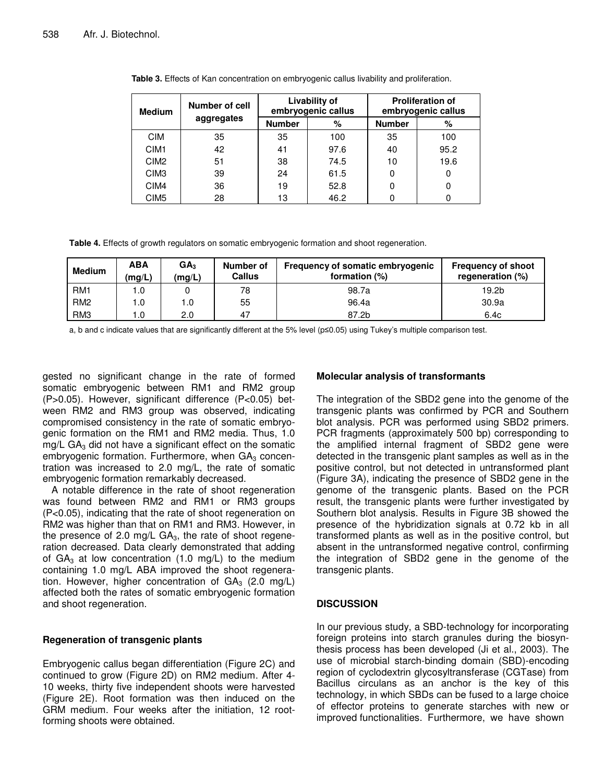| <b>Medium</b>    | Number of cell |               | <b>Livability of</b><br>embryogenic callus | <b>Proliferation of</b><br>embryogenic callus |      |  |
|------------------|----------------|---------------|--------------------------------------------|-----------------------------------------------|------|--|
|                  | aggregates     | <b>Number</b> | %                                          | <b>Number</b>                                 | %    |  |
| <b>CIM</b>       | 35             | 35            | 100                                        | 35                                            | 100  |  |
| CIM <sub>1</sub> | 42             | 41            | 97.6                                       | 40                                            | 95.2 |  |
| CIM <sub>2</sub> | 51             | 38            | 74.5                                       | 10                                            | 19.6 |  |
| CIM <sub>3</sub> | 39             | 24            | 61.5                                       | 0                                             | 0    |  |
| CIM4             | 36             | 19            | 52.8                                       | 0                                             | 0    |  |
| CIM <sub>5</sub> | 28             | 13            | 46.2                                       | 0                                             | 0    |  |

**Table 3.** Effects of Kan concentration on embryogenic callus livability and proliferation.

**Table 4.** Effects of growth regulators on somatic embryogenic formation and shoot regeneration.

| <b>Medium</b>   | <b>ABA</b><br>(mg/L) | GA <sub>3</sub><br>(mg/L) | Number of<br><b>Callus</b> | Frequency of somatic embryogenic<br>formation (%) | <b>Frequency of shoot</b><br>regeneration (%) |
|-----------------|----------------------|---------------------------|----------------------------|---------------------------------------------------|-----------------------------------------------|
| RM <sub>1</sub> |                      |                           | 78                         | 98.7a                                             | 19.2 <sub>b</sub>                             |
| RM <sub>2</sub> | .0                   | 0. ا                      | 55                         | 96.4a                                             | 30.9a                                         |
| RM <sub>3</sub> | .0                   | 2.0                       | 47                         | 87.2b                                             | 6.4c                                          |

a, b and c indicate values that are significantly different at the 5% level (p≤0.05) using Tukey's multiple comparison test.

gested no significant change in the rate of formed somatic embryogenic between RM1 and RM2 group (P>0.05). However, significant difference (P<0.05) between RM2 and RM3 group was observed, indicating compromised consistency in the rate of somatic embryogenic formation on the RM1 and RM2 media. Thus, 1.0  $mg/L$  GA<sub>3</sub> did not have a significant effect on the somatic embryogenic formation. Furthermore, when  $GA<sub>3</sub>$  concentration was increased to 2.0 mg/L, the rate of somatic embryogenic formation remarkably decreased.

A notable difference in the rate of shoot regeneration was found between RM2 and RM1 or RM3 groups (P<0.05), indicating that the rate of shoot regeneration on RM2 was higher than that on RM1 and RM3. However, in the presence of 2.0 mg/L  $GA<sub>3</sub>$ , the rate of shoot regeneration decreased. Data clearly demonstrated that adding of  $GA_3$  at low concentration (1.0 mg/L) to the medium containing 1.0 mg/L ABA improved the shoot regeneration. However, higher concentration of  $GA<sub>3</sub>$  (2.0 mg/L) affected both the rates of somatic embryogenic formation and shoot regeneration.

# **Regeneration of transgenic plants**

Embryogenic callus began differentiation (Figure 2C) and continued to grow (Figure 2D) on RM2 medium. After 4- 10 weeks, thirty five independent shoots were harvested (Figure 2E). Root formation was then induced on the GRM medium. Four weeks after the initiation, 12 rootforming shoots were obtained.

# **Molecular analysis of transformants**

The integration of the SBD2 gene into the genome of the transgenic plants was confirmed by PCR and Southern blot analysis. PCR was performed using SBD2 primers. PCR fragments (approximately 500 bp) corresponding to the amplified internal fragment of SBD2 gene were detected in the transgenic plant samples as well as in the positive control, but not detected in untransformed plant (Figure 3A), indicating the presence of SBD2 gene in the genome of the transgenic plants. Based on the PCR result, the transgenic plants were further investigated by Southern blot analysis. Results in Figure 3B showed the presence of the hybridization signals at 0.72 kb in all transformed plants as well as in the positive control, but absent in the untransformed negative control, confirming the integration of SBD2 gene in the genome of the transgenic plants.

# **DISCUSSION**

In our previous study, a SBD-technology for incorporating foreign proteins into starch granules during the biosynthesis process has been developed (Ji et al., 2003). The use of microbial starch-binding domain (SBD)-encoding region of cyclodextrin glycosyltransferase (CGTase) from Bacillus circulans as an anchor is the key of this technology, in which SBDs can be fused to a large choice of effector proteins to generate starches with new or improved functionalities. Furthermore, we have shown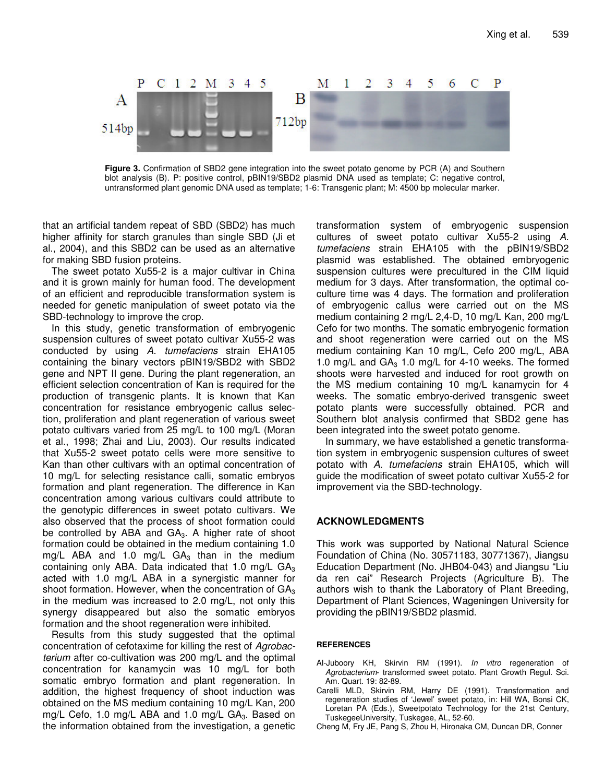

**Figure 3.** Confirmation of SBD2 gene integration into the sweet potato genome by PCR (A) and Southern blot analysis (B). P: positive control, pBIN19/SBD2 plasmid DNA used as template; C: negative control, untransformed plant genomic DNA used as template; 1-6: Transgenic plant; M: 4500 bp molecular marker.

that an artificial tandem repeat of SBD (SBD2) has much higher affinity for starch granules than single SBD (Ji et al., 2004), and this SBD2 can be used as an alternative for making SBD fusion proteins.

The sweet potato Xu55-2 is a major cultivar in China and it is grown mainly for human food. The development of an efficient and reproducible transformation system is needed for genetic manipulation of sweet potato via the SBD-technology to improve the crop.

In this study, genetic transformation of embryogenic suspension cultures of sweet potato cultivar Xu55-2 was conducted by using *A. tumefaciens* strain EHA105 containing the binary vectors pBIN19/SBD2 with SBD2 gene and NPT II gene. During the plant regeneration, an efficient selection concentration of Kan is required for the production of transgenic plants. It is known that Kan concentration for resistance embryogenic callus selection, proliferation and plant regeneration of various sweet potato cultivars varied from 25 mg/L to 100 mg/L (Moran et al., 1998; Zhai and Liu, 2003). Our results indicated that Xu55-2 sweet potato cells were more sensitive to Kan than other cultivars with an optimal concentration of 10 mg/L for selecting resistance calli, somatic embryos formation and plant regeneration. The difference in Kan concentration among various cultivars could attribute to the genotypic differences in sweet potato cultivars. We also observed that the process of shoot formation could be controlled by ABA and  $GA_3$ . A higher rate of shoot formation could be obtained in the medium containing 1.0 mg/L ABA and 1.0 mg/L GA<sub>3</sub> than in the medium containing only ABA. Data indicated that 1.0 mg/L  $GA<sub>3</sub>$ acted with 1.0 mg/L ABA in a synergistic manner for shoot formation. However, when the concentration of  $GA<sub>3</sub>$ in the medium was increased to 2.0 mg/L, not only this synergy disappeared but also the somatic embryos formation and the shoot regeneration were inhibited.

Results from this study suggested that the optimal concentration of cefotaxime for killing the rest of *Agrobacterium* after co-cultivation was 200 mg/L and the optimal concentration for kanamycin was 10 mg/L for both somatic embryo formation and plant regeneration. In addition, the highest frequency of shoot induction was obtained on the MS medium containing 10 mg/L Kan, 200 mg/L Cefo, 1.0 mg/L ABA and 1.0 mg/L  $GA_3$ . Based on the information obtained from the investigation, a genetic transformation system of embryogenic suspension cultures of sweet potato cultivar Xu55-2 using *A. tumefaciens* strain EHA105 with the pBIN19/SBD2 plasmid was established. The obtained embryogenic suspension cultures were precultured in the CIM liquid medium for 3 days. After transformation, the optimal coculture time was 4 days. The formation and proliferation of embryogenic callus were carried out on the MS medium containing 2 mg/L 2,4-D, 10 mg/L Kan, 200 mg/L Cefo for two months. The somatic embryogenic formation and shoot regeneration were carried out on the MS medium containing Kan 10 mg/L, Cefo 200 mg/L, ABA 1.0 mg/L and  $GA_3$  1.0 mg/L for 4-10 weeks. The formed shoots were harvested and induced for root growth on the MS medium containing 10 mg/L kanamycin for 4 weeks. The somatic embryo-derived transgenic sweet potato plants were successfully obtained. PCR and Southern blot analysis confirmed that SBD2 gene has been integrated into the sweet potato genome.

In summary, we have established a genetic transformation system in embryogenic suspension cultures of sweet potato with *A. tumefaciens* strain EHA105, which will guide the modification of sweet potato cultivar Xu55-2 for improvement via the SBD-technology.

## **ACKNOWLEDGMENTS**

This work was supported by National Natural Science Foundation of China (No. 30571183, 30771367), Jiangsu Education Department (No. JHB04-043) and Jiangsu "Liu da ren cai" Research Projects (Agriculture B). The authors wish to thank the Laboratory of Plant Breeding, Department of Plant Sciences, Wageningen University for providing the pBIN19/SBD2 plasmid.

#### **REFERENCES**

- Al-Juboory KH, Skirvin RM (1991). *In vitro* regeneration of *Agrobacterium*- transformed sweet potato. Plant Growth Regul. Sci. Am. Quart. 19: 82-89.
- Carelli MLD, Skirvin RM, Harry DE (1991). Transformation and regeneration studies of 'Jewel' sweet potato, in: Hill WA, Bonsi CK, Loretan PA (Eds.), Sweetpotato Technology for the 21st Century, TuskegeeUniversity, Tuskegee, AL, 52-60.
- Cheng M, Fry JE, Pang S, Zhou H, Hironaka CM, Duncan DR, Conner